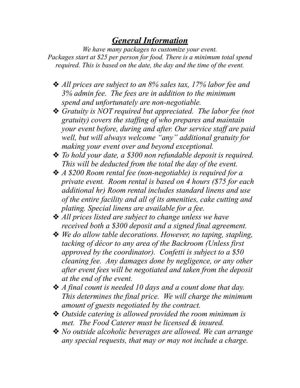# *General Information*

*We have many packages to customize your event. Packages start at \$25 per person for food. There is a minimum total spend required. This is based on the date, the day and the time of the event.* 

- ❖ *All prices are subject to an 8% sales tax, 17% labor fee and 3% admin fee. The fees are in addition to the minimum spend and unfortunately are non-negotiable.*
- ❖ *Gratuity is NOT required but appreciated. The labor fee (not gratuity) covers the staffing of who prepares and maintain your event before, during and after. Our service staff are paid well, but will always welcome "any" additional gratuity for making your event over and beyond exceptional.*
- ❖ *To hold your date, a \$300 non refundable deposit is required. This will be deducted from the total the day of the event.*
- ❖ *A \$200 Room rental fee (non-negotiable) is required for a private event. Room rental is based on 4 hours (\$75 for each additional hr) Room rental includes standard linens and use of the entire facility and all of its amenities, cake cutting and plating. Special linens are available for a fee.*
- ❖ *All prices listed are subject to change unless we have received both a \$300 deposit and a signed final agreement.*
- ❖ *We do allow table decorations. However, no taping, stapling, tacking of décor to any area of the Backroom (Unless first approved by the coordinator). Confetti is subject to a \$50 cleaning fee. Any damages done by negligence, or any other after event fees will be negotiated and taken from the deposit at the end of the event.*
- ❖ *A final count is needed 10 days and a count done that day. This determines the final price. We will charge the minimum amount of guests negotiated by the contract.*
- ❖ *Outside catering is allowed provided the room minimum is met. The Food Caterer must be licensed & insured.*
- ❖ *No outside alcoholic beverages are allowed. We can arrange any special requests, that may or may not include a charge.*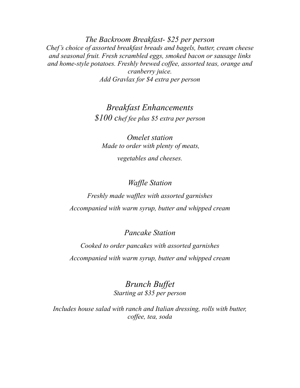*The Backroom Breakfast- \$25 per person Chef's choice of assorted breakfast breads and bagels, butter, cream cheese and seasonal fruit. Fresh scrambled eggs, smoked bacon or sausage links and home-style potatoes. Freshly brewed coffee, assorted teas, orange and cranberry juice. Add Gravlax for \$4 extra per person* 

> *Breakfast Enhancements \$100 chef fee plus \$5 extra per person*

*Omelet station Made to order with plenty of meats, vegetables and cheeses.* 

*Waffle Station* 

*Freshly made waffles with assorted garnishes Accompanied with warm syrup, butter and whipped cream*

*Pancake Station*

*Cooked to order pancakes with assorted garnishes Accompanied with warm syrup, butter and whipped cream* 

> *Brunch Buffet Starting at \$35 per person*

*Includes house salad with ranch and Italian dressing, rolls with butter, coffee, tea, soda*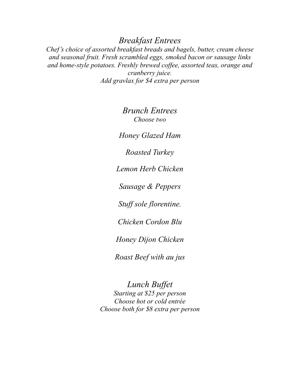## *Breakfast Entrees*

*Chef's choice of assorted breakfast breads and bagels, butter, cream cheese and seasonal fruit. Fresh scrambled eggs, smoked bacon or sausage links and home-style potatoes. Freshly brewed coffee, assorted teas, orange and cranberry juice. Add gravlax for \$4 extra per person* 

> *Brunch Entrees Choose two*

*Honey Glazed Ham*

*Roasted Turkey* 

*Lemon Herb Chicken* 

*Sausage & Peppers*

*Stuff sole florentine.* 

*Chicken Cordon Blu*

*Honey Dijon Chicken* 

*Roast Beef with au jus*

*Lunch Buffet Starting at \$25 per person Choose hot or cold entrée Choose both for \$8 extra per person*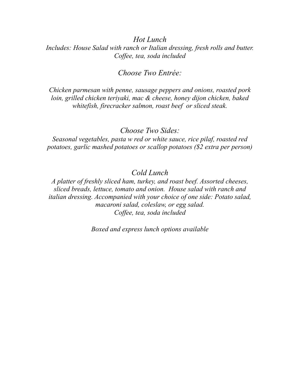#### *Hot Lunch*

*Includes: House Salad with ranch or Italian dressing, fresh rolls and butter. Coffee, tea, soda included*

#### *Choose Two Entrée:*

*Chicken parmesan with penne, sausage peppers and onions, roasted pork loin, grilled chicken teriyaki, mac & cheese, honey dijon chicken, baked whitefish, firecracker salmon, roast beef or sliced steak.* 

#### *Choose Two Sides:*

*Seasonal vegetables, pasta w red or white sauce, rice pilaf, roasted red potatoes, garlic mashed potatoes or scallop potatoes (\$2 extra per person)*

### *Cold Lunch*

*A platter of freshly sliced ham, turkey, and roast beef. Assorted cheeses, sliced breads, lettuce, tomato and onion. House salad with ranch and italian dressing. Accompanied with your choice of one side: Potato salad, macaroni salad, coleslaw, or egg salad. Coffee, tea, soda included*

*Boxed and express lunch options available*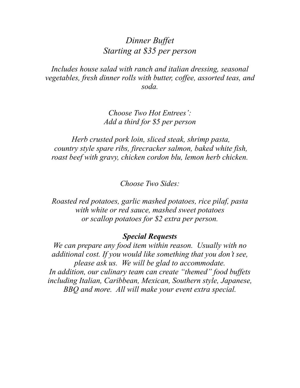## *Dinner Buffet Starting at \$35 per person*

*Includes house salad with ranch and italian dressing, seasonal vegetables, fresh dinner rolls with butter, coffee, assorted teas, and soda.*

> *Choose Two Hot Entrees': Add a third for \$5 per person*

 *Herb crusted pork loin, sliced steak, shrimp pasta, country style spare ribs, firecracker salmon, baked white fish, roast beef with gravy, chicken cordon blu, lemon herb chicken.*

*Choose Two Sides:*

*Roasted red potatoes, garlic mashed potatoes, rice pilaf, pasta with white or red sauce, mashed sweet potatoes or scallop potatoes for \$2 extra per person.*

#### *Special Requests*

*We can prepare any food item within reason. Usually with no additional cost. If you would like something that you don't see, please ask us. We will be glad to accommodate. In addition, our culinary team can create "themed" food buffets including Italian, Caribbean, Mexican, Southern style, Japanese, BBQ and more. All will make your event extra special.*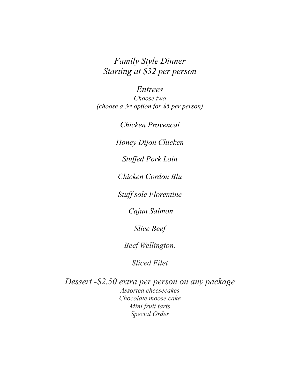# *Family Style Dinner Starting at \$32 per person*

*Entrees Choose two (choose a 3rd option for \$5 per person)*

*Chicken Provencal*

*Honey Dijon Chicken* 

*Stuffed Pork Loin* 

*Chicken Cordon Blu*

*Stuff sole Florentine*

 *Cajun Salmon* 

*Slice Beef*

*Beef Wellington.* 

*Sliced Filet* 

*Dessert -\$2.50 extra per person on any package Assorted cheesecakes Chocolate moose cake Mini fruit tarts Special Order*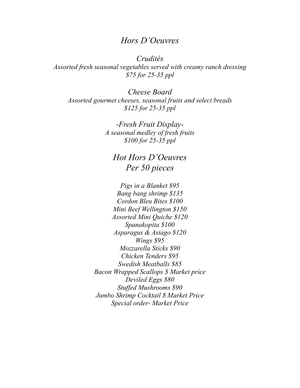### *Hors D'Oeuvres*

*Crudités Assorted fresh seasonal vegetables served with creamy ranch dressing \$75 for 25-35 ppl*

*Cheese Board Assorted gourmet cheeses, seasonal fruits and select breads \$125 for 25-35 ppl*

> *-Fresh Fruit Display-A seasonal medley of fresh fruits \$100 for 25-35 ppl*

*Hot Hors D'Oeuvres Per 50 pieces*

*Pigs in a Blanket \$95 Bang bang shrimp \$135 Cordon Bleu Bites \$100 Mini Beef Wellington \$150 Assorted Mini Quiche \$120 Spanakopita \$100 Asparagus & Asiago \$120 Wings \$95 Mozzarella Sticks \$90 Chicken Tenders \$95 Swedish Meatballs \$85 Bacon Wrapped Scallops \$ Market price Deviled Eggs \$80 Stuffed Mushrooms \$90 Jumbo Shrimp Cocktail \$ Market Price Special order- Market Price*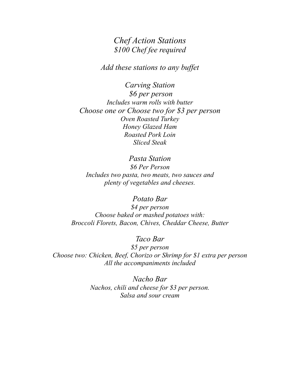### *Chef Action Stations \$100 Chef fee required*

*Add these stations to any buffet*

*Carving Station \$6 per person Includes warm rolls with butter Choose one or Choose two for \$3 per person Oven Roasted Turkey Honey Glazed Ham Roasted Pork Loin Sliced Steak*

*Pasta Station \$6 Per Person Includes two pasta, two meats, two sauces and plenty of vegetables and cheeses.*

*Potato Bar \$4 per person Choose baked or mashed potatoes with: Broccoli Florets, Bacon, Chives, Cheddar Cheese, Butter*

*Taco Bar \$5 per person Choose two: Chicken, Beef, Chorizo or Shrimp for \$1 extra per person All the accompaniments included* 

> *Nacho Bar Nachos, chili and cheese for \$3 per person. Salsa and sour cream*